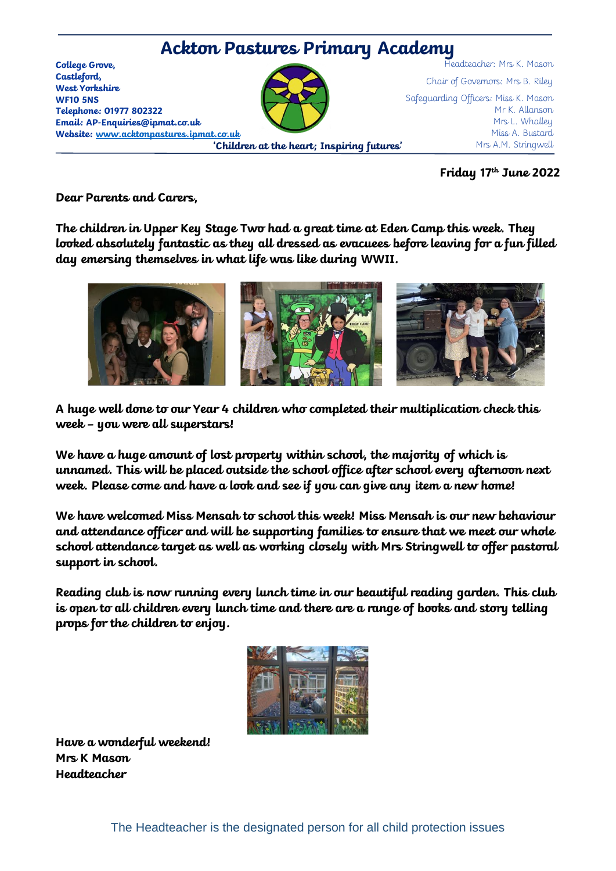

**Friday 17 th June 2022**

**Dear Parents and Carers,** 

**The children in Upper Key Stage Two had a great time at Eden Camp this week. They looked absolutely fantastic as they all dressed as evacuees before leaving for a fun filled day emersing themselves in what life was like during WWII.** 



**A huge well done to our Year 4 children who completed their multiplication check this week – you were all superstars!** 

**We have a huge amount of lost property within school, the majority of which is unnamed. This will be placed outside the school office after school every afternoon next week. Please come and have a look and see if you can give any item a new home!**

**We have welcomed Miss Mensah to school this week! Miss Mensah is our new behaviour and attendance officer and will be supporting families to ensure that we meet our whole school attendance target as well as working closely with Mrs Stringwell to offer pastoral support in school.**

**Reading club is now running every lunch time in our beautiful reading garden. This club is open to all children every lunch time and there are a range of books and story telling props for the children to enjoy.**



**Have a wonderful weekend! Mrs K Mason Headteacher**